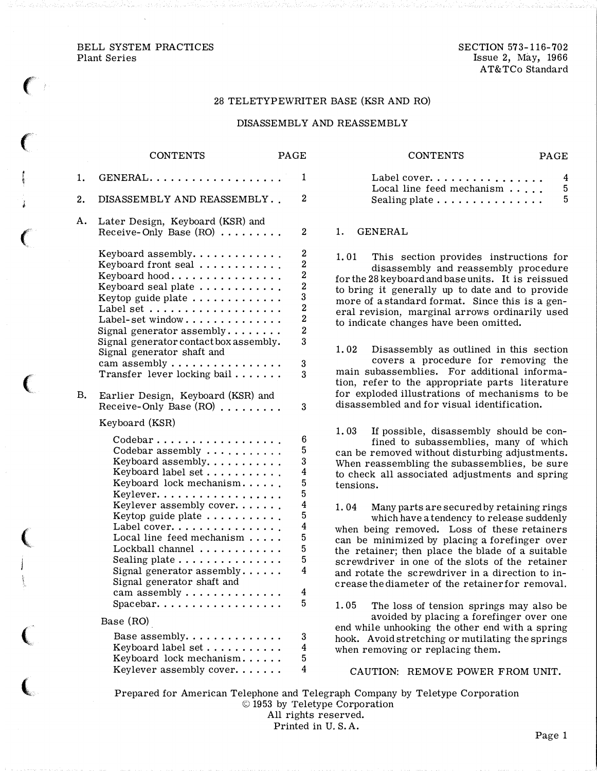BELL SYSTEM PRACTICES Plant Series

 $\epsilon$ 

 $\epsilon$ 

 $\big($ 

 $\big($ 

 $\big($ 

 $\big($ 

 $\big($ 

SECTION 573-116-702 Issue 2, May, 1966 AT& TCo Standard

### 28 TELETYPEWRITER BASE (KSR AND RO)

### DISASSEMBLY AND REASSEMBLY

|    | <b>CONTENTS</b>                                                                                                                                                                                                                                                                                                                                                                                                                       | PAGE |                                                                                                 |
|----|---------------------------------------------------------------------------------------------------------------------------------------------------------------------------------------------------------------------------------------------------------------------------------------------------------------------------------------------------------------------------------------------------------------------------------------|------|-------------------------------------------------------------------------------------------------|
| 1. | GENERAL.                                                                                                                                                                                                                                                                                                                                                                                                                              |      | 1                                                                                               |
| 2. | DISASSEMBLY AND REASSEMBLY                                                                                                                                                                                                                                                                                                                                                                                                            |      | $\overline{2}$                                                                                  |
| Α. | Later Design, Keyboard (KSR) and<br>Receive-Only Base $(RO)$                                                                                                                                                                                                                                                                                                                                                                          |      | 2                                                                                               |
|    | Keyboard assembly.<br>Keyboard front seal<br>Keyboard hood<br>Keyboard seal plate<br>Keytop guide plate $\dots\dots\dots\dots$<br>Label-set window<br>Signal generator assembly<br>Signal generator contact box assembly.<br>Signal generator shaft and<br>cam assembly                                                                                                                                                               |      | 2<br>2<br>$\bf{2}$<br>$\overline{\mathbf{2}}$<br>3<br>$\frac{2}{2}$<br>$\overline{2}$<br>3<br>3 |
|    | Transfer lever locking bail                                                                                                                                                                                                                                                                                                                                                                                                           |      | 3                                                                                               |
| B. | Earlier Design, Keyboard (KSR) and<br>Receive-Only Base (RO)<br>Keyboard (KSR)                                                                                                                                                                                                                                                                                                                                                        |      | 3                                                                                               |
|    | Codebar<br>Codebar assembly<br>Keyboard assembly.<br>Keyboard label set<br>Keyboard lock mechanism<br>Keylever.<br>Keylever assembly cover.<br>Keytop guide plate $\dots\dots\dots\dots$<br>Label cover.<br>Local line feed mechanism<br>Lockball channel<br>Sealing plate $\ldots \ldots \ldots \ldots$<br>Signal generator assembly<br>Signal generator shaft and<br>cam assembly $\dots \dots$<br>$Spacebar. \ldots \ldots \ldots$ |      | 6<br>5<br>3<br>4<br>5<br>5<br>4<br>5<br>4<br>5<br>5<br>5<br>4<br>4<br>5                         |
|    | Base (RO)                                                                                                                                                                                                                                                                                                                                                                                                                             |      |                                                                                                 |
|    | Base assembly.<br>Keyboard label set<br>Keyboard lock mechanism<br>Keylever assembly cover.                                                                                                                                                                                                                                                                                                                                           |      | 3<br>4<br>5<br>4                                                                                |

| <b>CONTENTS</b>                                                                                |  |  | PAGE.                  |
|------------------------------------------------------------------------------------------------|--|--|------------------------|
| Label cover.<br>Local line feed mechanism $\dots$ .<br>Sealing plate $\dots \dots \dots \dots$ |  |  | 4<br>$5^{\circ}$<br>5. |

#### 1. GENERAL

1. 01 This section provides instructions for disassembly and reassembly procedure for the 28 keyboard and base units. It is reissued to bring it generally up to date and to provide more of a standard format. Since this is a general revision, marginal arrows ordinarily used to indicate changes have been omitted.

1. 02 Disassembly as outlined in this section covers a procedure for removing the main subassemblies. For additional information, refer to the appropriate parts literature for exploded illustrations of mechanisms to be disassembled and for visual identification.

1. 03 If possible, disassembly should be confined to subassemblies, many of which can be removed without disturbing adjustments. When reassembling the subassemblies, be sure to check all associated adjustments and spring tensions.

1. 04 Many parts are secured by retaining rings which have a tendency to release suddenly when being removed. Loss of these retainers can be minimized by placing a forefinger over the retainer; then place the blade of a suitable screwdriver in one of the slots of the retainer and rotate the screwdriver in a direction to increase the diameter of the retainer for removal.

1. 05 The loss of tension springs may also be avoided by placing a forefinger over one end while unhooking the other end with a spring hook. Avoid stretching or mutilating the springs when removing or replacing them.

CAUTION: REMOVE POWER FROM UNIT.

Prepared for American Telephone and Telegraph Company by Teletype Corporation © 1953 by Teletype Corporation All rights reserved.

Printed in U. S. A.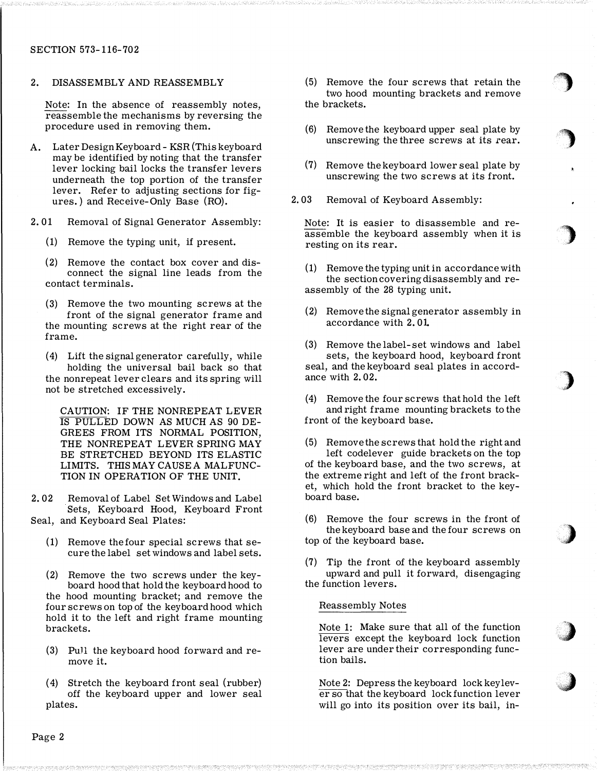# SECTION 573-116-702

2. DISASSEMBLY AND REASSEMBLY

Note: In the absence of reassembly notes, reassemble the mechanisms by reversing the procedure used in removing them.

- A. Later Design Keyboard KSR (This keyboard may be identified by noting that the transfer lever locking bail locks the transfer levers underneath the top portion of the transfer lever. Refer to adjusting sections for figures.) and Receive-Only Base (RO).
- 2. 01 Removal of Signal Generator Assembly:
	- (1) Remove the typing unit, if present.

(2) Remove the contact box cover and disconnect the signal line leads from the contact terminals.

(3) Remove the two mounting screws at the front of the signal generator frame and the mounting screws at the right rear of the frame.

( 4) Lift the signal generator carefully, while holding the universal bail back so that the nonrepeat lever clears and its spring will not be stretched excessively.

CAUTION: IF THE NONREPEAT LEVER IS PULLED DOWN AS MUCH AS 90 DE-GREES FROM ITS NORMAL POSITION. THE NONREPEAT LEVER SPRING MAY BE STRETCHED BEYOND ITS ELASTIC LIMITS. THISMAY CAUSE A MALFUNC-TION IN OPERATION OF THE UNIT.

2. 02 Removal of Label Set Windows and Label Sets, Keyboard Hood, Keyboard Front Seal, and Keyboard Seal Plates:

- (1) Remove the four special screws that secure the label set windows and label sets.
- (2) Remove the two screws under the keyboard hood that hold the keyboard hood to the hood mounting bracket; and remove the four screws on top of the keyboard hood which hold it to the left and right frame mounting brackets.
- (3) Pull the keyboard hood forward and remove it.
- ( 4) Stretch the keyboard front seal (rubber) off the keyboard upper and lower seal plates.

(5) Remove the four screws that retain the two hood mounting brackets and remove the brackets.

f�

)

)

ل<br>مار

)

:,)

'�

- (6) Remove the keyboard upper seal plate by unscrewing the three screws at its rear.
- (7) Remove the keyboard lower seal plate by unscrewing the two screws at its front.
- 2. 03 Removal of Keyboard Assembly:

Note: It is easier to disassemble and reassemble the keyboard assembly when it is resting on its rear.

- (1) Remove the typing unit in accordance with the section covering disassembly and reassembly of the 28 typing unit.
- (2) Remove the signal generator assembly in accordance with 2. 01

(3) Remove the label-set windows and label sets, the keyboard hood, keyboard front seal, and the keyboard seal plates in accordance with 2. 02.

( 4) Remove the four screws that hold the left and right frame mounting brackets to the front of the keyboard base.

(5) Remove the screws that hold the right and left codelever guide brackets on the top of the keyboard base, and the two screws, at the extreme right and left of the front bracket, which hold the front bracket to the keyboard base.

(6) Remove the four screws in the front of the keyboard base and the four screws on top of the keyboard base.

(7) Tip the front of the keyboard assembly upward and pull it forward, disengaging the function levers.

### Reassembly Notes

Note 1: Make sure that all of the function levers except the keyboard lock function lever are under their corresponding function bails.

Note 2: Depress the keyboard lock key lever so that the keyboard lock function lever will go into its position over its bail, in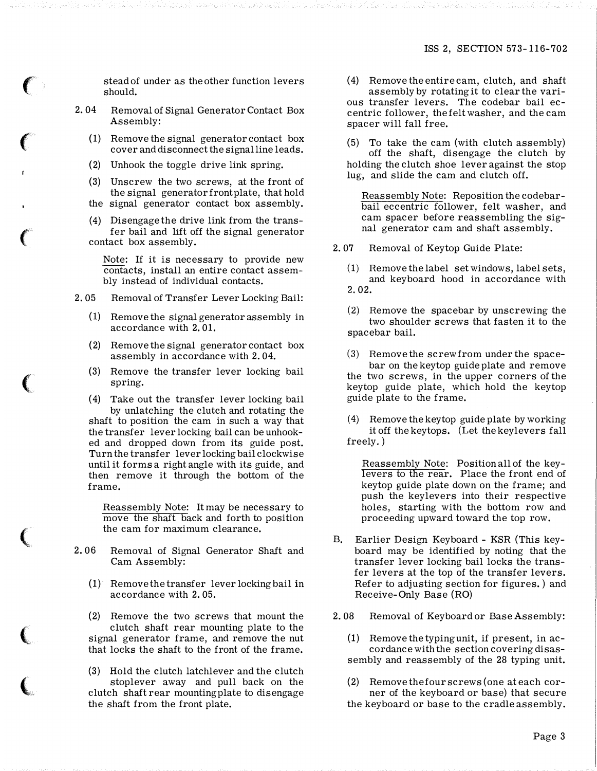stead of under as the other function levers should.

- 2. 04 Removal of Signal Generator Contact Box Assembly:
	- (1) Remove the signal generator contact box cover and disconnect the signal line leads.
	- (2) Unhook the toggle drive link spring.

 $\epsilon$ 

 $\big($ 

 $\big($ 

 $\left(\rule{0pt}{10pt}\right.$ 

(

- (3) Unscrew the two screws, at the front of the signal generator front plate, that hold the signal generator contact box assembly.
- ( 4) Disengage the drive link from the transfer bail and lift off the signal generator contact box assembly.

Note: If it is necessary to provide new contacts, install an entire contact assembly instead of individual contacts.

- 2. 05 Removal of Transfer Lever Locking Bail:
	- (1) Remove the signal generator assembly in accordance with 2. 01.
	- (2) Remove the signal generator contact box assembly in accordance with 2. 04.
	- (3) Remove the transfer lever locking bail spring.

(4) Take out the transfer lever locking bail by unlatching the clutch and rotating the shaft to position the cam in such a way that the transfer lever locking bail can be unhooked and dropped down from its guide post. Turn the transfer lever locking bail clockwise until it forms a right angle with its guide, and then remove it through the bottom of the frame.

Reassembly Note: It may be necessary to move the shaft back and forth to position the cam for maximum clearance.

- 2. 06 Removal of Signal Generator Shaft and Cam Assembly:
	- (1) Remove the transfer lever locking bail in accordance with 2. 05.

(2) Remove the two screws that mount the clutch shaft rear mounting plate to the signal generator frame, and remove the nut that locks the shaft to the front of the frame.

(3) Hold the clutch latchlever and the clutch stoplever away and pull back on the clutch shaft rear mounting plate to disengage the shaft from the front plate.

( 4) Remove the entire cam, clutch, and shaft assembly by rotating it to clear the various transfer levers. The codebar bail eccentric follower, the felt washer, and the cam spacer will fall free.

(5) To take the cam (with clutch assembly) off the shaft, disengage the clutch by holding the clutch shoe lever against the stop lug, and slide the cam and clutch off.

Reassembly Note: Reposition the codebarbail eccentric follower, felt washer, and cam spacer before reassembling the signal generator cam and shaft assembly.

- 2. 07 Removal of Keytop Guide Plate:
	- (1) Remove the label set windows, label sets, and keyboard hood in accordance with 2 . 02.
	- (2) Remove the spacebar by unscrewing the two shoulder screws that fasten it to the spacebar bail.
	- (3) Remove the screw from under the spacebar on the keytop guide plate and remove the two screws, in the upper corners of the keytop guide plate, which hold the keytop guide plate to the frame.
	- ( 4) Remove the keytop guide plate by working it off the keytops. (Let the key levers fall freely.)

Reassembly Note: Position all of the keylevers to the rear. Place the front end of keytop guide plate down on the frame; and push the keylevers into their respective holes, starting with the bottom row and proceeding upward toward the top row.

- B. Earlier Design Keyboard KSR (This keyboard may be identified by noting that the transfer lever locking bail locks the transfer levers at the top of the transfer levers. Refer to adjusting section for figures.) and Receive-Only Base (RO)
- 2. 08 Removal of Keyboard or Base Assembly:
	- ( 1) Remove the typing unit, if present, in accordance with the section covering disassembly and reassembly of the 28 typing unit.

(2) Remove the four screws (one at each corner of the keyboard or base) that secure the keyboard or base to the cradle assembly.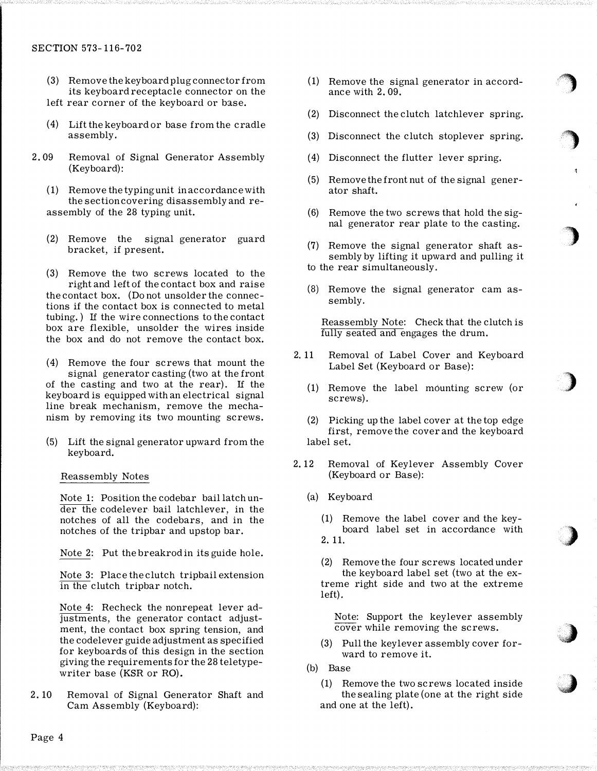# SECTION 573-116-702

- (3) Remove the keyboard plug connector from its keyboard receptacle connector on the left rear corner of the keyboard or base.
- ( 4) Lift the keyboard or base from the cradle assembly.
- 2. 09 Removal of Signal Generator Assembly (Keyboard):
	- ( 1) Remove the typing unit in accordance with the section covering disassembly and reassembly of the 28 typing unit.
	- (2) Remove the signal generator guard bracket, if present.
	- (3) Remove the two screws located to the right and left of the contact box and raise the contact box. (Do not unsolder the connections if the contact box is connected to metal tubing.) If the wire connections to the contact box are flexible, unsolder the wires inside the box and do not remove the contact box.
	- ( 4) Remove the four screws that mount the signal generator casting (two at the front of the casting and two at the rear). If the keyboard is equipped with an electrical signal line break mechanism, remove the mechanism by removing its two mounting screws.
	- (5) Lift the signal generator upward from the keyboard.

Reassembly Notes

Note 1: Position the codebar bail latch under the codelever bail latchlever, in the notches of all the codebars, and in the notches of the tripbar and upstop bar.

Note 2: Put the breakrod in its guide hole.

Note 3: Place the clutch tripbail extension in the clutch tripbar notch.

Note 4: Recheck the nonrepeat lever adjustments, the generator contact adjustment, the contact box spring tension, and the codelever guide adjustment as specified for keyboards of this design in the section giving the requirements for the 28 teletypewriter base (KSR or RO).

2. 10 Removal of Signal Generator Shaft and Cam Assembly (Keyboard):

(1) Remove the signal generator in accordance with 2. 09.

 $\bigcirc$ 

'')

)

)

)

iJ

- (2) Disconnect the clutch latchlever spring.
- (3) Disconnect the clutch stoplever spring.
- (4) Disconnect the flutter lever spring.
- (5) Remove the front nut of the signal generator shaft.
- (6) Remove the two screws that hold the signal generator rear plate to the casting.
- (7) Remove the signal generator shaft assembly by lifting it upward and pulling it to the rear simultaneously.
- (8) Remove the signal generator cam assembly.

Reassembly Note: Check that the clutch is fully seated and engages the drum.

- 2. 11 Removal of Label Cover and Keyboard Label Set (Keyboard or Base):
	- (1) Remove the label mounting screw (or screws).
	- (2) Picking up the label cover at the top edge first, remove the cover and the keyboard label set.
- 2. 12 Removal of Keylever Assembly Cover (Keyboard or Base):
	- (a) Keyboard
		- (1) Remove the label cover and the keyboard label set in accordance with 2. 11.

(2) Remove the four screws located under the keyboard label set (two at the extreme right side and two at the extreme left).

Note: Support the keylever assembly cover while removing the screws.

- (3) Pull the key lever assembly cover forward to remove it.
- (b) Base
	- (1) Remove the two screws located inside the sealing plate (one at the right side and one at the left).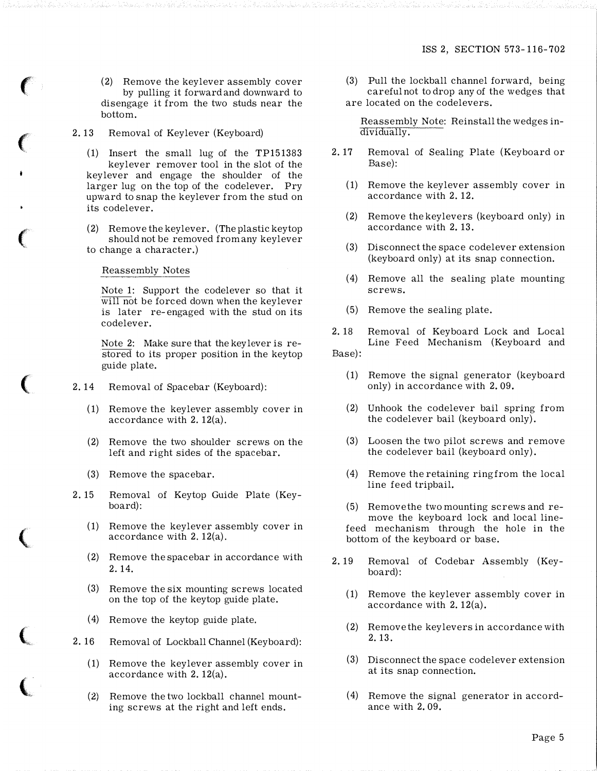(2) Remove the keylever assembly cover by pulling it forward and downward to disengage it from the two studs near the bottom.

2. 13 Removal of Keylever (Keyboard)

 $\left($ 

 $\big($ 

 $\epsilon$ 

 $\big($ 

 $\big($ 

(.

 $\overline{\mathbb{C}}$ 

- (1) Insert the small lug of the TP151383 keylever remover tool in the slot of the key lever and engage the shoulder of the larger lug on the top of the codelever. Pry upward to snap the keylever from the stud on its codelever.
- (2) Remove the key lever. (The plastic key top should not be removed from any keylever to change a character.)

# Reassembly Notes

Note 1: Support the codelever so that it will not be forced down when the keylever is later re-engaged with the stud on its codelever.

Note 2: Make sure that the key lever is restored to its proper position in the keytop guide plate.

- 2. 14 Removal of Spacebar (Keyboard):
	- (1) Remove the keylever assembly cover in accordance with 2. 12(a).
	- (2) Remove the two shoulder screws on the left and right sides of the spacebar.
	- (3) Remove the spacebar.
- 2. 15 Removal of Keytop Guide Plate (Keyboard):
	- (1) Remove the keylever assembly cover in accordance with 2. 12(a).
	- (2) Remove the spacebar in accordance with 2. 14.
	- (3) Remove the six mounting screws located on the top of the keytop guide plate.
	- ( 4) Remove the keytop guide plate.
- 2. 16 Removal of Lockball Channel (Keyboard):
	- (1) Remove the keylever assembly cover in accordance with 2. 12(a).
	- (2) Remove the two lockball channel mounting screws at the right and left ends.

(3) Pull the lockball channel forward, being careful not to drop any of the wedges that are located on the codelevers.

Reassembly Note: Reinstall the wedges individually.

- 2. 17 Removal of Sealing Plate (Keyboard or Base):
	- (1) Remove the keylever assembly cover in accordance with 2. 12.
	- (2) Remove the key levers (keyboard only) in accordance with 2. 13.
	- (3) Disconnect the space codelever extension (keyboard only) at its snap connection.
	- ( 4) Remove all the sealing plate mounting screws.
	- (5) Remove the sealing plate.

2. 18 Removal of Keyboard Lock and Local Line Feed Mechanism (Keyboard and Base):

- (1) Remove the signal generator (keyboard only) in accordance with 2. 09.
- (2) Unhook the codelever bail spring from the codelever bail (keyboard only).
- (3) Loosen the two pilot screws and remove the codelever bail (keyboard only).
- ( 4) Remove the retaining ring from the local line feed tripbail.

(5) Remove the two mounting screws and remove the keyboard lock and local linefeed mechanism through the hole in the bottom of the keyboard or base.

- 2. 19 Removal of Codebar Assembly (Keyboard):
	- (1) Remove the keylever assembly cover in accordance with 2. 12(a).
	- (2) Remove the key levers in accordance with 2. 13.
	- (3) Disconnect the space codelever extension at its snap connection.
	- (4) Remove the signal generator in accordance with 2. 09.